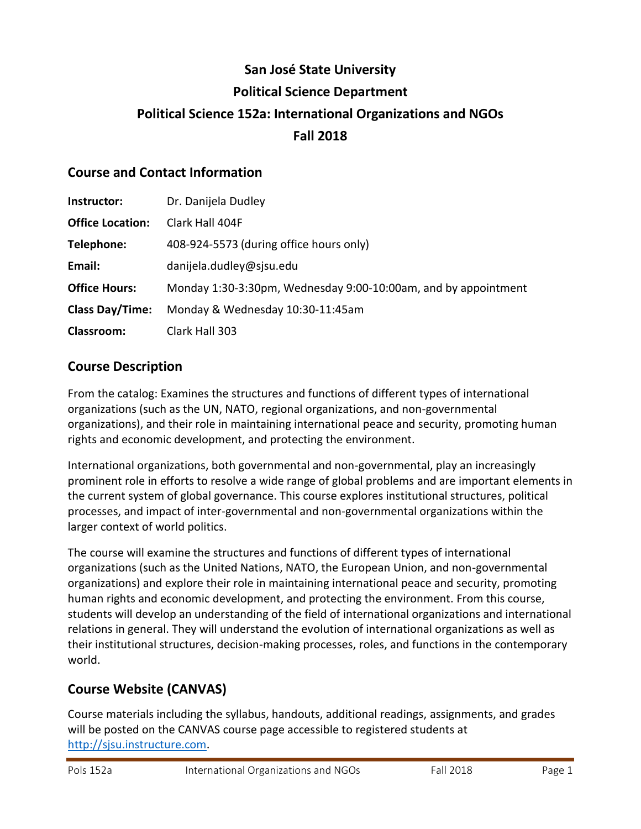# **San José State University Political Science Department Political Science 152a: International Organizations and NGOs Fall 2018**

#### **Course and Contact Information**

| Instructor:             | Dr. Danijela Dudley                                            |
|-------------------------|----------------------------------------------------------------|
| <b>Office Location:</b> | Clark Hall 404F                                                |
| Telephone:              | 408-924-5573 (during office hours only)                        |
| Email:                  | danijela.dudley@sjsu.edu                                       |
| <b>Office Hours:</b>    | Monday 1:30-3:30pm, Wednesday 9:00-10:00am, and by appointment |
| <b>Class Day/Time:</b>  | Monday & Wednesday 10:30-11:45am                               |
| Classroom:              | Clark Hall 303                                                 |

#### **Course Description**

From the catalog: Examines the structures and functions of different types of international organizations (such as the UN, NATO, regional organizations, and non-governmental organizations), and their role in maintaining international peace and security, promoting human rights and economic development, and protecting the environment.

International organizations, both governmental and non-governmental, play an increasingly prominent role in efforts to resolve a wide range of global problems and are important elements in the current system of global governance. This course explores institutional structures, political processes, and impact of inter-governmental and non-governmental organizations within the larger context of world politics.

The course will examine the structures and functions of different types of international organizations (such as the United Nations, NATO, the European Union, and non-governmental organizations) and explore their role in maintaining international peace and security, promoting human rights and economic development, and protecting the environment. From this course, students will develop an understanding of the field of international organizations and international relations in general. They will understand the evolution of international organizations as well as their institutional structures, decision-making processes, roles, and functions in the contemporary world.

# **Course Website (CANVAS)**

Course materials including the syllabus, handouts, additional readings, assignments, and grades will be posted on the CANVAS course page accessible to registered students at [http://sjsu.instructure.com.](http://sjsu.instructure.com/)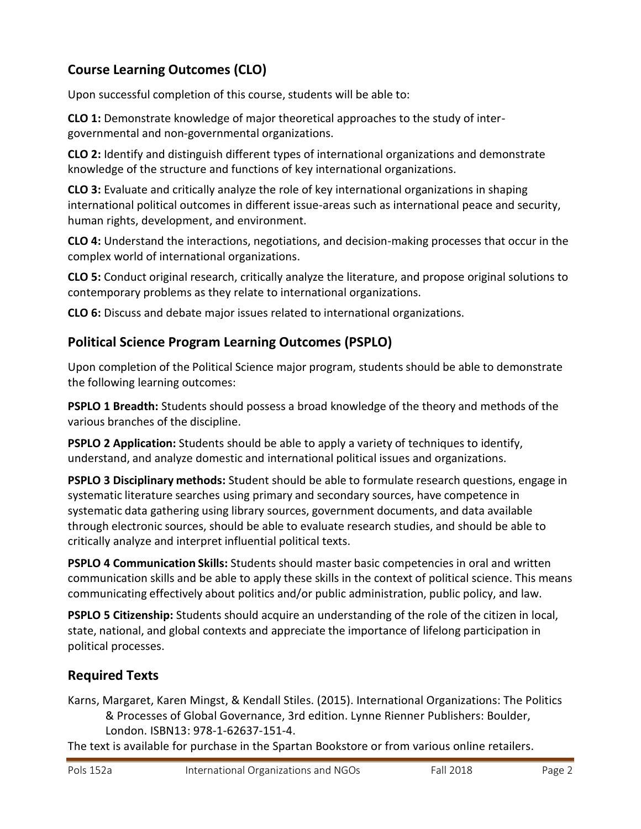# **Course Learning Outcomes (CLO)**

Upon successful completion of this course, students will be able to:

**CLO 1:** Demonstrate knowledge of major theoretical approaches to the study of intergovernmental and non-governmental organizations.

**CLO 2:** Identify and distinguish different types of international organizations and demonstrate knowledge of the structure and functions of key international organizations.

**CLO 3:** Evaluate and critically analyze the role of key international organizations in shaping international political outcomes in different issue-areas such as international peace and security, human rights, development, and environment.

**CLO 4:** Understand the interactions, negotiations, and decision-making processes that occur in the complex world of international organizations.

**CLO 5:** Conduct original research, critically analyze the literature, and propose original solutions to contemporary problems as they relate to international organizations.

**CLO 6:** Discuss and debate major issues related to international organizations.

# **Political Science Program Learning Outcomes (PSPLO)**

Upon completion of the Political Science major program, students should be able to demonstrate the following learning outcomes:

**PSPLO 1 Breadth:** Students should possess a broad knowledge of the theory and methods of the various branches of the discipline.

**PSPLO 2 Application:** Students should be able to apply a variety of techniques to identify, understand, and analyze domestic and international political issues and organizations.

**PSPLO 3 Disciplinary methods:** Student should be able to formulate research questions, engage in systematic literature searches using primary and secondary sources, have competence in systematic data gathering using library sources, government documents, and data available through electronic sources, should be able to evaluate research studies, and should be able to critically analyze and interpret influential political texts.

**PSPLO 4 Communication Skills:** Students should master basic competencies in oral and written communication skills and be able to apply these skills in the context of political science. This means communicating effectively about politics and/or public administration, public policy, and law.

**PSPLO 5 Citizenship:** Students should acquire an understanding of the role of the citizen in local, state, national, and global contexts and appreciate the importance of lifelong participation in political processes.

# **Required Texts**

Karns, Margaret, Karen Mingst, & Kendall Stiles. (2015). International Organizations: The Politics & Processes of Global Governance, 3rd edition. Lynne Rienner Publishers: Boulder, London. ISBN13: 978-1-62637-151-4.

The text is available for purchase in the Spartan Bookstore or from various online retailers.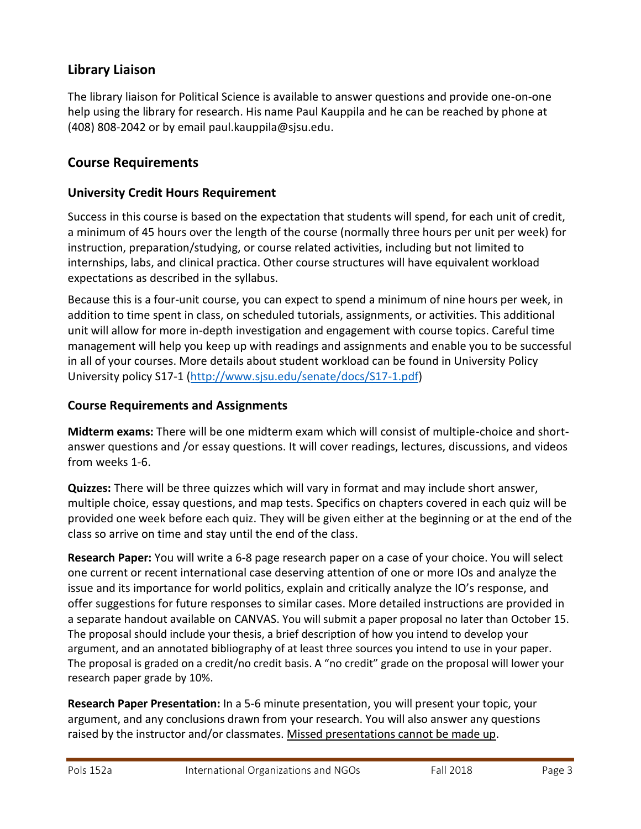#### **Library Liaison**

The library liaison for Political Science is available to answer questions and provide one-on-one help using the library for research. His name Paul Kauppila and he can be reached by phone at (408) 808-2042 or by email [paul.kauppila@sjsu.edu.](mailto:paul.kauppila@sjsu.edu)

#### **Course Requirements**

#### **University Credit Hours Requirement**

Success in this course is based on the expectation that students will spend, for each unit of credit, a minimum of 45 hours over the length of the course (normally three hours per unit per week) for instruction, preparation/studying, or course related activities, including but not limited to internships, labs, and clinical practica. Other course structures will have equivalent workload expectations as described in the syllabus.

Because this is a four-unit course, you can expect to spend a minimum of nine hours per week, in addition to time spent in class, on scheduled tutorials, assignments, or activities. This additional unit will allow for more in-depth investigation and engagement with course topics. Careful time management will help you keep up with readings and assignments and enable you to be successful in all of your courses. More details about student workload can be found in University Policy University policy S17-1 [\(http://www.sjsu.edu/senate/docs/S17-1.pdf\)](http://www.sjsu.edu/senate/docs/S17-1.pdf)

#### **Course Requirements and Assignments**

**Midterm exams:** There will be one midterm exam which will consist of multiple-choice and shortanswer questions and /or essay questions. It will cover readings, lectures, discussions, and videos from weeks 1-6.

**Quizzes:** There will be three quizzes which will vary in format and may include short answer, multiple choice, essay questions, and map tests. Specifics on chapters covered in each quiz will be provided one week before each quiz. They will be given either at the beginning or at the end of the class so arrive on time and stay until the end of the class.

**Research Paper:** You will write a 6-8 page research paper on a case of your choice. You will select one current or recent international case deserving attention of one or more IOs and analyze the issue and its importance for world politics, explain and critically analyze the IO's response, and offer suggestions for future responses to similar cases. More detailed instructions are provided in a separate handout available on CANVAS. You will submit a paper proposal no later than October 15. The proposal should include your thesis, a brief description of how you intend to develop your argument, and an annotated bibliography of at least three sources you intend to use in your paper. The proposal is graded on a credit/no credit basis. A "no credit" grade on the proposal will lower your research paper grade by 10%.

**Research Paper Presentation:** In a 5-6 minute presentation, you will present your topic, your argument, and any conclusions drawn from your research. You will also answer any questions raised by the instructor and/or classmates. Missed presentations cannot be made up.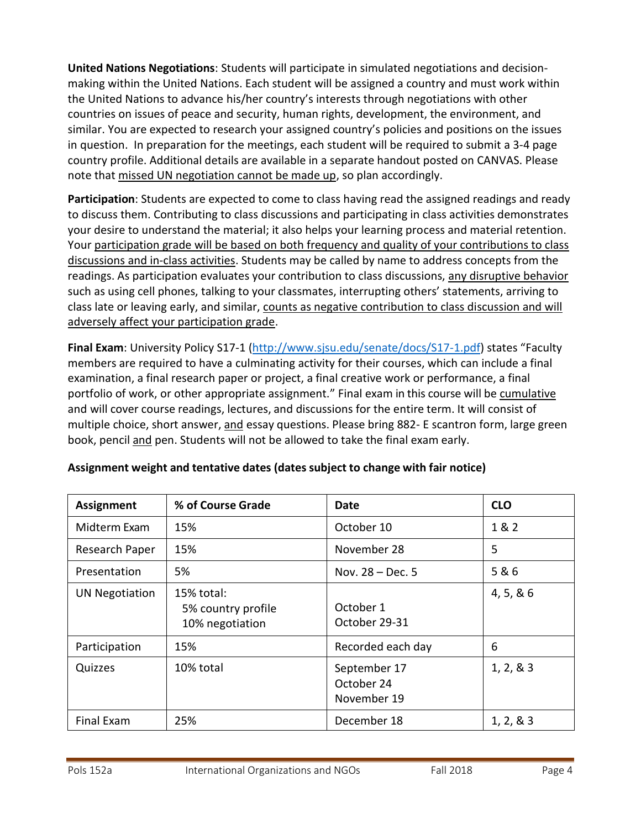**United Nations Negotiations**: Students will participate in simulated negotiations and decisionmaking within the United Nations. Each student will be assigned a country and must work within the United Nations to advance his/her country's interests through negotiations with other countries on issues of peace and security, human rights, development, the environment, and similar. You are expected to research your assigned country's policies and positions on the issues in question. In preparation for the meetings, each student will be required to submit a 3-4 page country profile. Additional details are available in a separate handout posted on CANVAS. Please note that missed UN negotiation cannot be made up, so plan accordingly.

**Participation**: Students are expected to come to class having read the assigned readings and ready to discuss them. Contributing to class discussions and participating in class activities demonstrates your desire to understand the material; it also helps your learning process and material retention. Your participation grade will be based on both frequency and quality of your contributions to class discussions and in-class activities. Students may be called by name to address concepts from the readings. As participation evaluates your contribution to class discussions, any disruptive behavior such as using cell phones, talking to your classmates, interrupting others' statements, arriving to class late or leaving early, and similar, counts as negative contribution to class discussion and will adversely affect your participation grade.

**Final Exam**: University Policy S17-1 [\(http://www.sjsu.edu/senate/docs/S17-1.pdf](http://www.sjsu.edu/senate/docs/S17-1.pdf)) states "Faculty members are required to have a culminating activity for their courses, which can include a final examination, a final research paper or project, a final creative work or performance, a final portfolio of work, or other appropriate assignment." Final exam in this course will be cumulative and will cover course readings, lectures, and discussions for the entire term. It will consist of multiple choice, short answer, and essay questions. Please bring 882- E scantron form, large green book, pencil and pen. Students will not be allowed to take the final exam early.

| <b>Assignment</b>     | % of Course Grade                                   | Date                                      | <b>CLO</b> |
|-----------------------|-----------------------------------------------------|-------------------------------------------|------------|
| Midterm Exam          | 15%                                                 | October 10                                | 1 & 2      |
| Research Paper        | 15%                                                 | November 28                               | 5          |
| Presentation          | 5%                                                  | Nov. $28 - Dec.5$                         | 5 & 6      |
| <b>UN Negotiation</b> | 15% total:<br>5% country profile<br>10% negotiation | October 1<br>October 29-31                | 4, 5, 8, 6 |
| Participation         | 15%                                                 | Recorded each day                         | 6          |
| Quizzes               | 10% total                                           | September 17<br>October 24<br>November 19 | 1, 2, 8, 3 |
| <b>Final Exam</b>     | 25%                                                 | December 18                               | 1, 2, 8, 3 |

#### **Assignment weight and tentative dates (dates subject to change with fair notice)**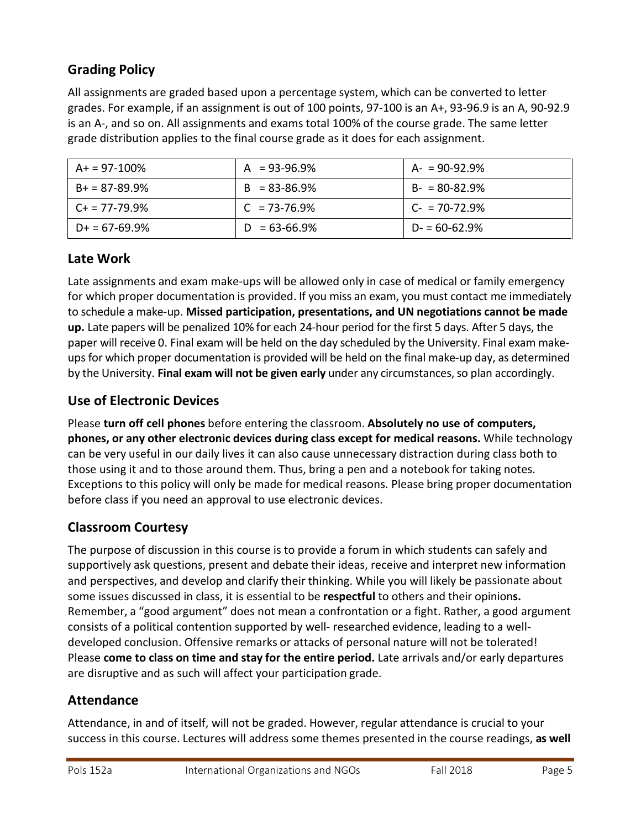# **Grading Policy**

All assignments are graded based upon a percentage system, which can be converted to letter grades. For example, if an assignment is out of 100 points, 97-100 is an A+, 93-96.9 is an A, 90-92.9 is an A-, and so on. All assignments and exams total 100% of the course grade. The same letter grade distribution applies to the final course grade as it does for each assignment.

| $A+ = 97-100\%$    | $A = 93-96.9%$    | $A - 90 - 92.9%$   |
|--------------------|-------------------|--------------------|
| $B+ = 87-89.9%$    | $B = 83 - 86.9%$  | $B - 80 - 82.9%$   |
| $C_{+}$ = 77-79.9% | $C = 73 - 76.9\%$ | $C_{2}$ = 70-72.9% |
| $D+ = 67-69.9%$    | $D = 63 - 66.9\%$ | $D = 60 - 62.9%$   |

#### **Late Work**

Late assignments and exam make-ups will be allowed only in case of medical or family emergency for which proper documentation is provided. If you miss an exam, you must contact me immediately to schedule a make-up. **Missed participation, presentations, and UN negotiations cannot be made up.** Late papers will be penalized 10% for each 24-hour period for the first 5 days. After 5 days, the paper will receive 0. Final exam will be held on the day scheduled by the University. Final exam makeupsfor which proper documentation is provided will be held on the final make-up day, as determined by the University. **Final exam will not be given early** under any circumstances,so plan accordingly.

#### **Use of Electronic Devices**

Please **turn off cell phones** before entering the classroom. **Absolutely no use of computers, phones, or any other electronic devices during class except for medical reasons.** While technology can be very useful in our daily lives it can also cause unnecessary distraction during class both to those using it and to those around them. Thus, bring a pen and a notebook for taking notes. Exceptions to this policy will only be made for medical reasons. Please bring proper documentation before class if you need an approval to use electronic devices.

# **Classroom Courtesy**

The purpose of discussion in this course is to provide a forum in which students can safely and supportively ask questions, present and debate their ideas, receive and interpret new information and perspectives, and develop and clarify their thinking. While you will likely be passionate about some issues discussed in class, it is essential to be **respectful** to others and their opinion**s.** Remember, a "good argument" does not mean a confrontation or a fight. Rather, a good argument consists of a political contention supported by well- researched evidence, leading to a welldeveloped conclusion. Offensive remarks or attacks of personal nature will not be tolerated! Please **come to class on time and stay for the entire period.** Late arrivals and/or early departures are disruptive and as such will affect your participation grade.

#### **Attendance**

Attendance, in and of itself, will not be graded. However, regular attendance is crucial to your success in this course. Lectures will address some themes presented in the course readings, **as well**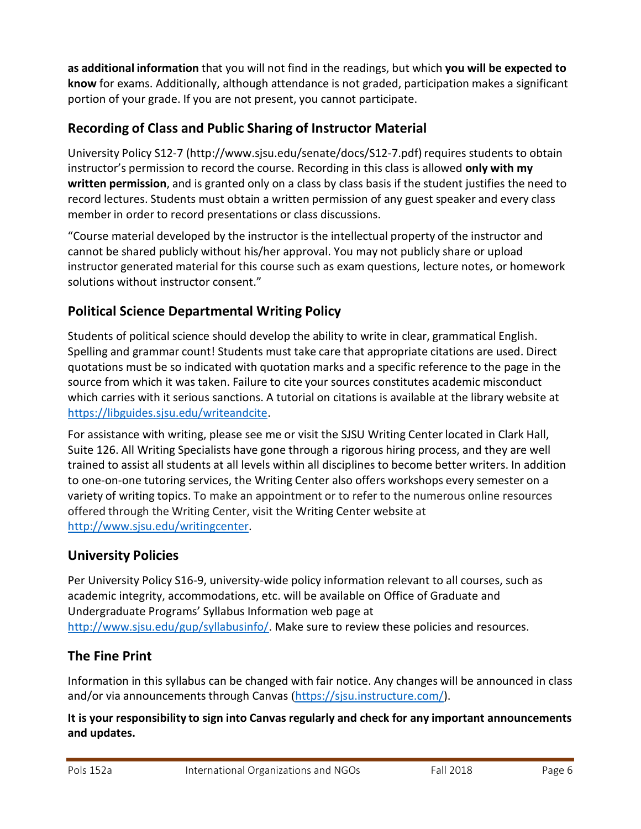**as additional information** that you will not find in the readings, but which **you will be expected to know** for exams. Additionally, although attendance is not graded, participation makes a significant portion of your grade. If you are not present, you cannot participate.

# **Recording of Class and Public Sharing of Instructor Material**

[University](http://www.sjsu.edu/senate/docs/S12-7.pdf) Policy S12-7 [\(http://www.sjsu.edu/senate/docs/S12-7.pdf\)](http://www.sjsu.edu/senate/docs/S12-7.pdf)requires students to obtain instructor's permission to record the course. Recording in this class is allowed **only with my written permission**, and is granted only on a class by class basis if the student justifies the need to record lectures. Students must obtain a written permission of any guest speaker and every class member in order to record presentations or class discussions.

"Course material developed by the instructor is the intellectual property of the instructor and cannot be shared publicly without his/her approval. You may not publicly share or upload instructor generated material for this course such as exam questions, lecture notes, or homework solutions without instructor consent."

# **Political Science Departmental Writing Policy**

Students of political science should develop the ability to write in clear, grammatical English. Spelling and grammar count! Students must take care that appropriate citations are used. Direct quotations must be so indicated with quotation marks and a specific reference to the page in the source from which it was taken. Failure to cite your sources constitutes academic misconduct which carries with it serious sanctions. A tutorial on citations is available at the library website at [https://libguides.sjsu.edu/writeandcite.](https://libguides.sjsu.edu/writeandcite)

For assistance with writing, please see me or visit the SJSU Writing Center located in Clark Hall, Suite 126. All Writing Specialists have gone through a rigorous hiring process, and they are well trained to assist all students at all levels within all disciplines to become better writers. In addition to one-on-one tutoring services, the Writing Center also offers workshops every semester on a variety of writing topics. To make an appointment or to refer to the numerous online resources offered through the Writing Center, visit the Writing Center [website](http://www.sjsu.edu/writingcenter) at [http://www.sjsu.edu/writingcenter.](http://www.sjsu.edu/writingcenter)

# **University Policies**

Per University Policy S16-9, university-wide policy information relevant to all courses, such as academic integrity, accommodations, etc. will be available on Office of Graduate and Undergraduate Programs' Syllabus Information web page at [http://www.sjsu.edu/gup/syllabusinfo/.](http://www.sjsu.edu/gup/syllabusinfo/) Make sure to review these policies and resources.

# **The Fine Print**

Information in this syllabus can be changed with fair notice. Any changes will be announced in class and/or via announcements through Canvas ([https://sjsu.instructure.com/\)](https://sjsu.instructure.com/).

#### **It is your responsibility to sign into Canvas regularly and check for any important announcements and updates.**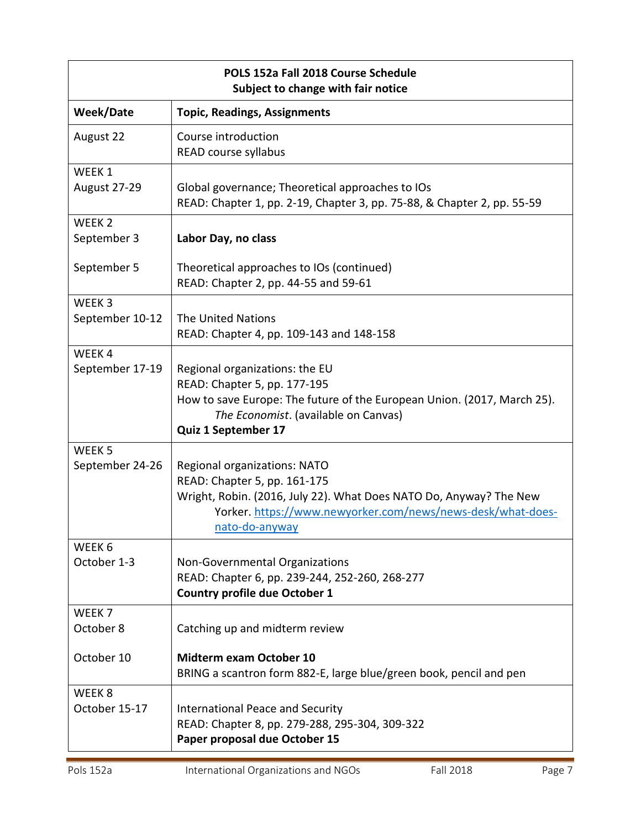| POLS 152a Fall 2018 Course Schedule<br>Subject to change with fair notice |                                                                                                                                                                                                                     |  |
|---------------------------------------------------------------------------|---------------------------------------------------------------------------------------------------------------------------------------------------------------------------------------------------------------------|--|
| <b>Week/Date</b>                                                          | <b>Topic, Readings, Assignments</b>                                                                                                                                                                                 |  |
| August 22                                                                 | Course introduction<br>READ course syllabus                                                                                                                                                                         |  |
| WEEK 1<br>August 27-29                                                    | Global governance; Theoretical approaches to IOs<br>READ: Chapter 1, pp. 2-19, Chapter 3, pp. 75-88, & Chapter 2, pp. 55-59                                                                                         |  |
| WEEK <sub>2</sub><br>September 3                                          | Labor Day, no class                                                                                                                                                                                                 |  |
| September 5                                                               | Theoretical approaches to IOs (continued)<br>READ: Chapter 2, pp. 44-55 and 59-61                                                                                                                                   |  |
| WEEK <sub>3</sub><br>September 10-12                                      | <b>The United Nations</b><br>READ: Chapter 4, pp. 109-143 and 148-158                                                                                                                                               |  |
| WEEK4<br>September 17-19                                                  | Regional organizations: the EU<br>READ: Chapter 5, pp. 177-195<br>How to save Europe: The future of the European Union. (2017, March 25).<br>The Economist. (available on Canvas)<br>Quiz 1 September 17            |  |
| WEEK <sub>5</sub><br>September 24-26                                      | Regional organizations: NATO<br>READ: Chapter 5, pp. 161-175<br>Wright, Robin. (2016, July 22). What Does NATO Do, Anyway? The New<br>Yorker. https://www.newyorker.com/news/news-desk/what-does-<br>nato-do-anyway |  |
| WEEK 6<br>October 1-3                                                     | Non-Governmental Organizations<br>READ: Chapter 6, pp. 239-244, 252-260, 268-277<br><b>Country profile due October 1</b>                                                                                            |  |
| WEEK <sub>7</sub><br>October 8                                            | Catching up and midterm review                                                                                                                                                                                      |  |
| October 10                                                                | <b>Midterm exam October 10</b><br>BRING a scantron form 882-E, large blue/green book, pencil and pen                                                                                                                |  |
| WEEK <sub>8</sub><br>October 15-17                                        | <b>International Peace and Security</b><br>READ: Chapter 8, pp. 279-288, 295-304, 309-322<br>Paper proposal due October 15                                                                                          |  |